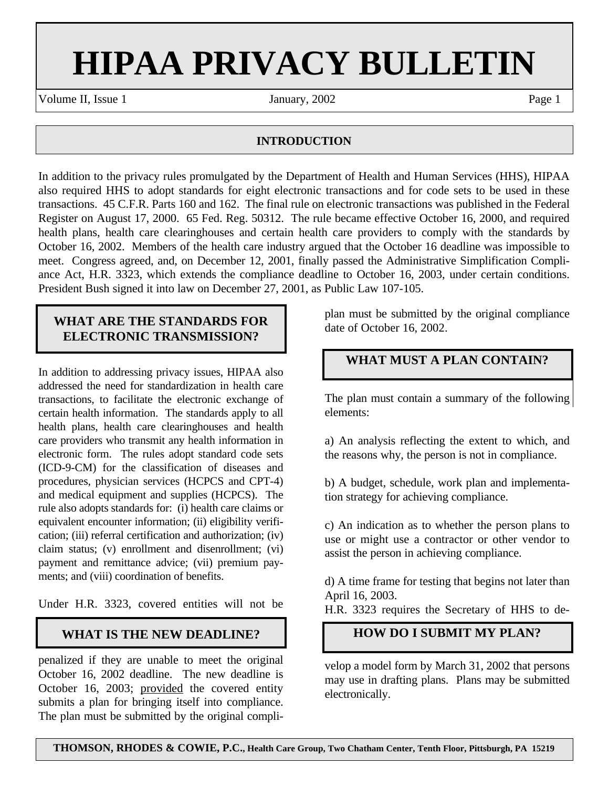# **HIPAA PRIVACY BULLETIN**

Volume II, Issue 1 January, 2002 Page 1

#### **INTRODUCTION**

In addition to the privacy rules promulgated by the Department of Health and Human Services (HHS), HIPAA also required HHS to adopt standards for eight electronic transactions and for code sets to be used in these transactions. 45 C.F.R. Parts 160 and 162. The final rule on electronic transactions was published in the Federal Register on August 17, 2000. 65 Fed. Reg. 50312. The rule became effective October 16, 2000, and required health plans, health care clearinghouses and certain health care providers to comply with the standards by October 16, 2002. Members of the health care industry argued that the October 16 deadline was impossible to meet. Congress agreed, and, on December 12, 2001, finally passed the Administrative Simplification Compliance Act, H.R. 3323, which extends the compliance deadline to October 16, 2003, under certain conditions. President Bush signed it into law on December 27, 2001, as Public Law 107-105.

### **WHAT ARE THE STANDARDS FOR ELECTRONIC TRANSMISSION?**

In addition to addressing privacy issues, HIPAA also addressed the need for standardization in health care transactions, to facilitate the electronic exchange of certain health information. The standards apply to all health plans, health care clearinghouses and health care providers who transmit any health information in electronic form. The rules adopt standard code sets (ICD-9-CM) for the classification of diseases and procedures, physician services (HCPCS and CPT-4) and medical equipment and supplies (HCPCS). The rule also adopts standards for: (i) health care claims or equivalent encounter information; (ii) eligibility verification; (iii) referral certification and authorization; (iv) claim status; (v) enrollment and disenrollment; (vi) payment and remittance advice; (vii) premium payments; and (viii) coordination of benefits.

Under H.R. 3323, covered entities will not be

#### **WHAT IS THE NEW DEADLINE?**

penalized if they are unable to meet the original October 16, 2002 deadline. The new deadline is October 16, 2003; provided the covered entity submits a plan for bringing itself into compliance. The plan must be submitted by the original compliplan must be submitted by the original compliance date of October 16, 2002.

## **WHAT MUST A PLAN CONTAIN?**

The plan must contain a summary of the following elements:

a) An analysis reflecting the extent to which, and the reasons why, the person is not in compliance.

b) A budget, schedule, work plan and implementation strategy for achieving compliance.

c) An indication as to whether the person plans to use or might use a contractor or other vendor to assist the person in achieving compliance.

d) A time frame for testing that begins not later than April 16, 2003.

H.R. 3323 requires the Secretary of HHS to de-

## **HOW DO I SUBMIT MY PLAN?**

velop a model form by March 31, 2002 that persons may use in drafting plans. Plans may be submitted electronically.

**THOMSON, RHODES & COWIE, P.C., Health Care Group, Two Chatham Center, Tenth Floor, Pittsburgh, PA 15219**